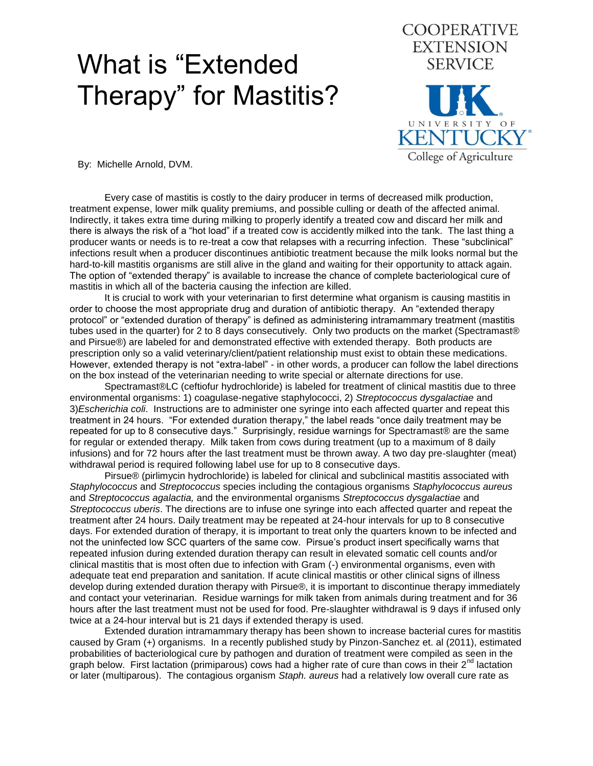## What is "Extended Therapy" for Mastitis?



By: Michelle Arnold, DVM.

Every case of mastitis is costly to the dairy producer in terms of decreased milk production, treatment expense, lower milk quality premiums, and possible culling or death of the affected animal. Indirectly, it takes extra time during milking to properly identify a treated cow and discard her milk and there is always the risk of a "hot load" if a treated cow is accidently milked into the tank. The last thing a producer wants or needs is to re-treat a cow that relapses with a recurring infection. These "subclinical" infections result when a producer discontinues antibiotic treatment because the milk looks normal but the hard-to-kill mastitis organisms are still alive in the gland and waiting for their opportunity to attack again. The option of "extended therapy" is available to increase the chance of complete bacteriological cure of mastitis in which all of the bacteria causing the infection are killed.

It is crucial to work with your veterinarian to first determine what organism is causing mastitis in order to choose the most appropriate drug and duration of antibiotic therapy. An "extended therapy protocol" or "extended duration of therapy" is defined as administering intramammary treatment (mastitis tubes used in the quarter) for 2 to 8 days consecutively. Only two products on the market (Spectramast® and Pirsue®) are labeled for and demonstrated effective with extended therapy. Both products are prescription only so a valid veterinary/client/patient relationship must exist to obtain these medications. However, extended therapy is not "extra-label" - in other words, a producer can follow the label directions on the box instead of the veterinarian needing to write special or alternate directions for use.

Spectramast®LC (ceftiofur hydrochloride) is labeled for treatment of clinical mastitis due to three environmental organisms: 1) coagulase-negative staphylococci, 2) *Streptococcus dysgalactiae* and 3)*Escherichia coli*. Instructions are to administer one syringe into each affected quarter and repeat this treatment in 24 hours. "For extended duration therapy," the label reads "once daily treatment may be repeated for up to 8 consecutive days." Surprisingly, residue warnings for Spectramast® are the same for regular or extended therapy. Milk taken from cows during treatment (up to a maximum of 8 daily infusions) and for 72 hours after the last treatment must be thrown away. A two day pre-slaughter (meat) withdrawal period is required following label use for up to 8 consecutive days.

Pirsue® (pirlimycin hydrochloride) is labeled for clinical and subclinical mastitis associated with *Staphylococcus* and *Streptococcus* species including the contagious organisms *Staphylococcus aureus* and *Streptococcus agalactia,* and the environmental organisms *Streptococcus dysgalactiae* and *Streptococcus uberis*. The directions are to infuse one syringe into each affected quarter and repeat the treatment after 24 hours. Daily treatment may be repeated at 24-hour intervals for up to 8 consecutive days. For extended duration of therapy, it is important to treat only the quarters known to be infected and not the uninfected low SCC quarters of the same cow. Pirsue's product insert specifically warns that repeated infusion during extended duration therapy can result in elevated somatic cell counts and/or clinical mastitis that is most often due to infection with Gram (-) environmental organisms, even with adequate teat end preparation and sanitation. If acute clinical mastitis or other clinical signs of illness develop during extended duration therapy with Pirsue®, it is important to discontinue therapy immediately and contact your veterinarian. Residue warnings for milk taken from animals during treatment and for 36 hours after the last treatment must not be used for food. Pre-slaughter withdrawal is 9 days if infused only twice at a 24-hour interval but is 21 days if extended therapy is used.

Extended duration intramammary therapy has been shown to increase bacterial cures for mastitis caused by Gram (+) organisms. In a recently published study by Pinzon-Sanchez et. al (2011), estimated probabilities of bacteriological cure by pathogen and duration of treatment were compiled as seen in the graph below. First lactation (primiparous) cows had a higher rate of cure than cows in their  $2^{nd}$  lactation or later (multiparous). The contagious organism *Staph. aureus* had a relatively low overall cure rate as